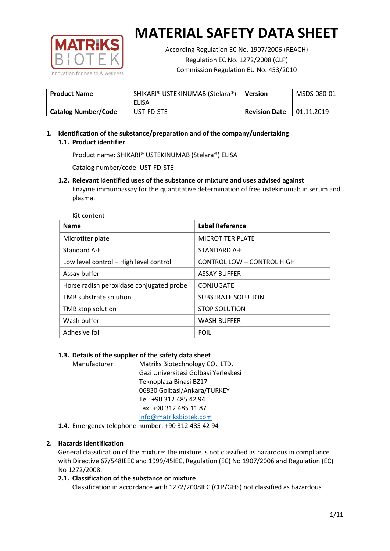

According Regulation EC No. 1907/2006 (REACH) Regulation EC No. 1272/2008 (CLP) Commission Regulation EU No. 453/2010

| <b>Product Name</b>        | SHIKARI® USTEKINUMAB (Stelara®)<br>ELISA | <b>Version</b>       | MSDS-080-01 |
|----------------------------|------------------------------------------|----------------------|-------------|
| <b>Catalog Number/Code</b> | UST-FD-STE                               | <b>Revision Date</b> | 01.11.2019  |

## **1. Identification of the substance/preparation and of the company/undertaking 1.1. Product identifier**

Product name: SHIKARI® USTEKINUMAB (Stelara®) ELISA

Catalog number/code: UST-FD-STE

**1.2. Relevant identified uses of the substance or mixture and uses advised against** Enzyme immunoassay for the quantitative determination of free ustekinumab in serum and plasma.

| <b>Name</b>                              | <b>Label Reference</b>            |
|------------------------------------------|-----------------------------------|
| Microtiter plate                         | <b>MICROTITER PLATE</b>           |
| <b>Standard A-E</b>                      | STANDARD A-F                      |
| Low level control - High level control   | <b>CONTROL LOW - CONTROL HIGH</b> |
| Assay buffer                             | <b>ASSAY BUFFER</b>               |
| Horse radish peroxidase conjugated probe | CONJUGATE                         |
| TMB substrate solution                   | <b>SUBSTRATE SOLUTION</b>         |
| TMB stop solution                        | <b>STOP SOLUTION</b>              |
| Wash buffer                              | <b>WASH BUFFER</b>                |
| Adhesive foil                            | <b>FOIL</b>                       |

## **1.3. Details of the supplier of the safety data sheet**

Manufacturer: Matriks Biotechnology CO., LTD. Gazi Universitesi Golbasi Yerleskesi Teknoplaza Binasi BZ17 06830 Golbasi/Ankara/TURKEY Tel: +90 312 485 42 94 Fax: +90 312 485 11 87 [info@matriksbiotek.com](mailto:info@matriksbiotek.com)

**1.4.** Emergency telephone number: +90 312 485 42 94

## **2. Hazards identification**

General classification of the mixture: the mixture is not classified as hazardous in compliance with Directive 67/548IEEC and 1999/45IEC, Regulation (EC) No 1907/2006 and Regulation (EC) No 1272/2008.

## **2.1. Classification of the substance or mixture**

Classification in accordance with 1272/2008IEC (CLP/GHS) not classified as hazardous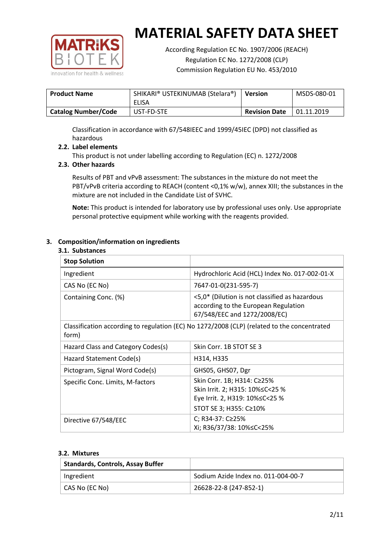

According Regulation EC No. 1907/2006 (REACH) Regulation EC No. 1272/2008 (CLP) Commission Regulation EU No. 453/2010

| <b>Product Name</b>        | SHIKARI® USTEKINUMAB (Stelara®)<br>ELISA | Version              | MSDS-080-01 |
|----------------------------|------------------------------------------|----------------------|-------------|
| <b>Catalog Number/Code</b> | UST-FD-STE                               | <b>Revision Date</b> | 01.11.2019  |

Classification in accordance with 67/548IEEC and 1999/45IEC (DPD) not classified as hazardous

## **2.2. Label elements**

This product is not under labelling according to Regulation (EC) n. 1272/2008

### **2.3. Other hazards**

Results of PBT and vPvB assessment: The substances in the mixture do not meet the PBT/vPvB criteria according to REACH (content <0,1% w/w), annex XIII; the substances in the mixture are not included in the Candidate List of SVHC.

**Note:** This product is intended for laboratory use by professional uses only. Use appropriate personal protective equipment while working with the reagents provided.

#### **3. Composition/information on ingredients**

#### **3.1. Substances**

| <b>Stop Solution</b>                                                                                 |                                                                                                                               |
|------------------------------------------------------------------------------------------------------|-------------------------------------------------------------------------------------------------------------------------------|
| Ingredient                                                                                           | Hydrochloric Acid (HCL) Index No. 017-002-01-X                                                                                |
| CAS No (EC No)                                                                                       | 7647-01-0(231-595-7)                                                                                                          |
| Containing Conc. (%)                                                                                 | <5,0* (Dilution is not classified as hazardous<br>according to the European Regulation<br>67/548/EEC and 1272/2008/EC)        |
| Classification according to regulation (EC) No 1272/2008 (CLP) (related to the concentrated<br>form) |                                                                                                                               |
| Hazard Class and Category Codes(s)                                                                   | Skin Corr. 1B STOT SE 3                                                                                                       |
| Hazard Statement Code(s)                                                                             | H314, H335                                                                                                                    |
| Pictogram, Signal Word Code(s)                                                                       | GHS05, GHS07, Dgr                                                                                                             |
| Specific Conc. Limits, M-factors                                                                     | Skin Corr. 1B; H314: C≥25%<br>Skin Irrit. 2; H315: 10% ≤ C < 25 %<br>Eye Irrit. 2, H319: 10%≤C<25 %<br>STOT SE 3; H355: C≥10% |
| Directive 67/548/EEC                                                                                 | C; R34-37: C≥25%<br>Xi; R36/37/38: 10%≤C<25%                                                                                  |

#### **3.2. Mixtures**

| <b>Standards, Controls, Assay Buffer</b> |                                     |
|------------------------------------------|-------------------------------------|
| Ingredient                               | Sodium Azide Index no. 011-004-00-7 |
| CAS No (EC No)                           | 26628-22-8 (247-852-1)              |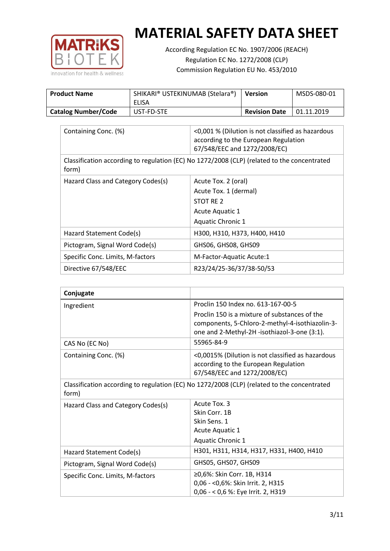

According Regulation EC No. 1907/2006 (REACH) Regulation EC No. 1272/2008 (CLP) Commission Regulation EU No. 453/2010

| <b>Product Name</b>        | SHIKARI® USTEKINUMAB (Stelara®)<br>ELISA | <b>Version</b>       | MSDS-080-01 |
|----------------------------|------------------------------------------|----------------------|-------------|
| <b>Catalog Number/Code</b> | UST-FD-STE                               | <b>Revision Date</b> | 01.11.2019  |

| Containing Conc. (%)                                                                                 | <0,001 % (Dilution is not classified as hazardous<br>according to the European Regulation<br>67/548/EEC and 1272/2008/EC) |  |
|------------------------------------------------------------------------------------------------------|---------------------------------------------------------------------------------------------------------------------------|--|
| Classification according to regulation (EC) No 1272/2008 (CLP) (related to the concentrated<br>form) |                                                                                                                           |  |
| Hazard Class and Category Codes(s)                                                                   | Acute Tox. 2 (oral)                                                                                                       |  |
|                                                                                                      | Acute Tox. 1 (dermal)                                                                                                     |  |
|                                                                                                      | STOT RE 2                                                                                                                 |  |
|                                                                                                      | Acute Aquatic 1                                                                                                           |  |
|                                                                                                      | Aquatic Chronic 1                                                                                                         |  |
| Hazard Statement Code(s)                                                                             | H300, H310, H373, H400, H410                                                                                              |  |
| Pictogram, Signal Word Code(s)                                                                       | GHS06, GHS08, GHS09                                                                                                       |  |
| Specific Conc. Limits, M-factors                                                                     | M-Factor-Aquatic Acute:1                                                                                                  |  |
| Directive 67/548/EEC                                                                                 | R23/24/25-36/37/38-50/53                                                                                                  |  |

| Conjugate                                                                                            |                                                                                                                                                  |  |
|------------------------------------------------------------------------------------------------------|--------------------------------------------------------------------------------------------------------------------------------------------------|--|
| Ingredient                                                                                           | Proclin 150 Index no. 613-167-00-5                                                                                                               |  |
|                                                                                                      | Proclin 150 is a mixture of substances of the<br>components, 5-Chloro-2-methyl-4-isothiazolin-3-<br>one and 2-Methyl-2H -isothiazol-3-one (3:1). |  |
| CAS No (EC No)                                                                                       | 55965-84-9                                                                                                                                       |  |
| Containing Conc. (%)                                                                                 | <0,0015% (Dilution is not classified as hazardous<br>according to the European Regulation<br>67/548/EEC and 1272/2008/EC)                        |  |
| Classification according to regulation (EC) No 1272/2008 (CLP) (related to the concentrated<br>form) |                                                                                                                                                  |  |
| Hazard Class and Category Codes(s)                                                                   | Acute Tox. 3                                                                                                                                     |  |
|                                                                                                      | Skin Corr. 1B                                                                                                                                    |  |
|                                                                                                      | Skin Sens. 1                                                                                                                                     |  |
|                                                                                                      | <b>Acute Aquatic 1</b>                                                                                                                           |  |
|                                                                                                      | Aquatic Chronic 1                                                                                                                                |  |
| Hazard Statement Code(s)                                                                             | H301, H311, H314, H317, H331, H400, H410                                                                                                         |  |
| Pictogram, Signal Word Code(s)                                                                       | GHS05, GHS07, GHS09                                                                                                                              |  |
| Specific Conc. Limits, M-factors                                                                     | ≥0,6%: Skin Corr. 1B, H314                                                                                                                       |  |
|                                                                                                      | 0,06 - < 0,6%: Skin Irrit. 2, H315                                                                                                               |  |
|                                                                                                      | 0,06 - < 0,6 %: Eye Irrit. 2, H319                                                                                                               |  |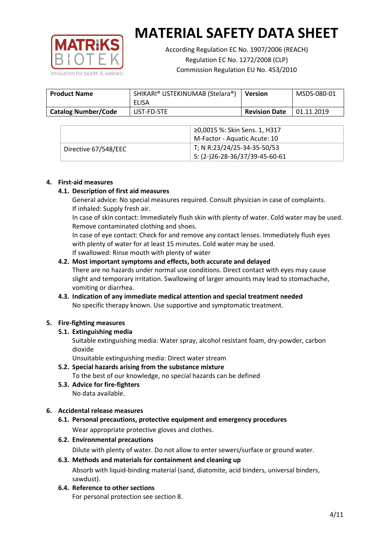

According Regulation EC No. 1907/2006 (REACH) Regulation EC No. 1272/2008 (CLP) Commission Regulation EU No. 453/2010

| <b>Product Name</b>        | SHIKARI® USTEKINUMAB (Stelara®)<br>ELISA | <b>Version</b>       | MSDS-080-01 |
|----------------------------|------------------------------------------|----------------------|-------------|
| <b>Catalog Number/Code</b> | UST-FD-STE                               | <b>Revision Date</b> | 01.11.2019  |

|                      | ≥0,0015 %: Skin Sens. 1, H317                |
|----------------------|----------------------------------------------|
|                      | M-Factor - Aquatic Acute: 10                 |
| Directive 67/548/EEC | T; N R:23/24/25-34-35-50/53                  |
|                      | $\frac{1}{2}$ S: (2-)26-28-36/37/39-45-60-61 |

#### **4. First-aid measures**

#### **4.1. Description of first aid measures**

General advice: No special measures required. Consult physician in case of complaints. If inhaled: Supply fresh air.

In case of skin contact: Immediately flush skin with plenty of water. Cold water may be used. Remove contaminated clothing and shoes.

In case of eye contact: Check for and remove any contact lenses. Immediately flush eyes with plenty of water for at least 15 minutes. Cold water may be used. If swallowed: Rinse mouth with plenty of water

#### **4.2. Most important symptoms and effects, both accurate and delayed**

There are no hazards under normal use conditions. Direct contact with eyes may cause slight and temporary irritation. Swallowing of larger amounts may lead to stomachache, vomiting or diarrhea.

## **4.3. Indication of any immediate medical attention and special treatment needed** No specific therapy known. Use supportive and symptomatic treatment.

## **5. Fire-fighting measures**

## **5.1. Extinguishing media**

Suitable extinguishing media: Water spray, alcohol resistant foam, dry-powder, carbon dioxide

Unsuitable extinguishing media: Direct water stream

- **5.2. Special hazards arising from the substance mixture** To the best of our knowledge, no special hazards can be defined
- **5.3. Advice for fire-fighters** No data available.

## **6. Accidental release measures**

- **6.1. Personal precautions, protective equipment and emergency procedures** Wear appropriate protective gloves and clothes.
- **6.2. Environmental precautions**

Dilute with plenty of water. Do not allow to enter sewers/surface or ground water.

#### **6.3. Methods and materials for containment and cleaning up**

Absorb with liquid-binding material (sand, diatomite, acid binders, universal binders, sawdust).

**6.4. Reference to other sections**

For personal protection see section 8.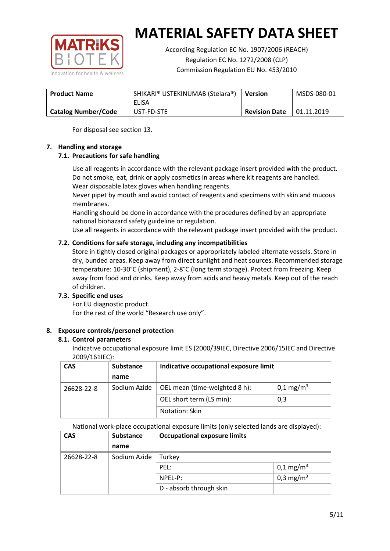

According Regulation EC No. 1907/2006 (REACH) Regulation EC No. 1272/2008 (CLP) Commission Regulation EU No. 453/2010

| <b>Product Name</b>        | SHIKARI® USTEKINUMAB (Stelara®)<br>ELISA | <b>Version</b>       | MSDS-080-01 |
|----------------------------|------------------------------------------|----------------------|-------------|
| <b>Catalog Number/Code</b> | UST-FD-STE                               | <b>Revision Date</b> | 01.11.2019  |

For disposal see section 13.

## **7. Handling and storage**

## **7.1. Precautions for safe handling**

Use all reagents in accordance with the relevant package insert provided with the product. Do not smoke, eat, drink or apply cosmetics in areas where kit reagents are handled. Wear disposable latex gloves when handling reagents.

Never pipet by mouth and avoid contact of reagents and specimens with skin and mucous membranes.

Handling should be done in accordance with the procedures defined by an appropriate national biohazard safety guideline or regulation.

Use all reagents in accordance with the relevant package insert provided with the product.

## **7.2. Conditions for safe storage, including any incompatibilities**

Store in tightly closed original packages or appropriately labeled alternate vessels. Store in dry, bunded areas. Keep away from direct sunlight and heat sources. Recommended storage temperature: 10-30°C (shipment), 2-8°C (long term storage). Protect from freezing. Keep away from food and drinks. Keep away from acids and heavy metals. Keep out of the reach of children.

## **7.3. Specific end uses**

For EU diagnostic product. For the rest of the world "Research use only".

## **8. Exposure controls/personel protection**

#### **8.1. Control parameters**

Indicative occupational exposure limit ES (2000/39IEC, Directive 2006/15IEC and Directive 2009/161IEC):

| <b>CAS</b> | <b>Substance</b> | Indicative occupational exposure limit |                         |
|------------|------------------|----------------------------------------|-------------------------|
|            | name             |                                        |                         |
| 26628-22-8 | Sodium Azide     | OEL mean (time-weighted 8 h):          | $0,1 \,\mathrm{mg/m^3}$ |
|            |                  | OEL short term (LS min):               | 0,3                     |
|            |                  | Notation: Skin                         |                         |

National work-place occupational exposure limits (only selected lands are displayed):

| <b>CAS</b> | <b>Substance</b> | <b>Occupational exposure limits</b> |                         |  |
|------------|------------------|-------------------------------------|-------------------------|--|
|            | name             |                                     |                         |  |
| 26628-22-8 | Sodium Azide     | Turkey                              |                         |  |
|            |                  | PEL:                                | $0,1 \,\mathrm{mg/m^3}$ |  |
|            |                  | NPEL-P:                             | 0,3 mg/m <sup>3</sup>   |  |
|            |                  | D - absorb through skin             |                         |  |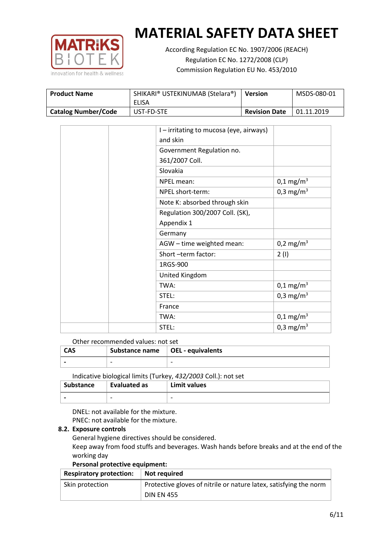

According Regulation EC No. 1907/2006 (REACH) Regulation EC No. 1272/2008 (CLP) Commission Regulation EU No. 453/2010

| <b>Product Name</b>        | SHIKARI® USTEKINUMAB (Stelara®)<br>ELISA | <b>Version</b>       | MSDS-080-01 |
|----------------------------|------------------------------------------|----------------------|-------------|
| <b>Catalog Number/Code</b> | UST-FD-STE                               | <b>Revision Date</b> | 01.11.2019  |

| I – irritating to mucosa (eye, airways) |                       |
|-----------------------------------------|-----------------------|
| and skin                                |                       |
| Government Regulation no.               |                       |
| 361/2007 Coll.                          |                       |
| Slovakia                                |                       |
| NPEL mean:                              | $0,1 \text{ mg/m}^3$  |
| NPEL short-term:                        | 0,3 mg/m <sup>3</sup> |
| Note K: absorbed through skin           |                       |
| Regulation 300/2007 Coll. (SK),         |                       |
| Appendix 1                              |                       |
| Germany                                 |                       |
| AGW - time weighted mean:               | 0,2 mg/m <sup>3</sup> |
| Short-term factor:                      | 2(1)                  |
| 1RGS-900                                |                       |
| United Kingdom                          |                       |
| TWA:                                    | $0,1 \text{ mg/m}^3$  |
| STEL:                                   | 0,3 mg/m <sup>3</sup> |
| France                                  |                       |
| TWA:                                    | $0,1 \text{ mg/m}^3$  |
| STEL:                                   | 0,3 mg/m <sup>3</sup> |

#### Other recommended values: not set

| <b>CAS</b> | Substance name $\vert$ OEL - equivalents |  |
|------------|------------------------------------------|--|
|            | $\overline{\phantom{0}}$                 |  |
|            |                                          |  |

Indicative biological limits (Turkey, *432/2003* Coll.): not set

| Substance                | Evaluated as             | Limit values             |
|--------------------------|--------------------------|--------------------------|
| $\overline{\phantom{0}}$ | $\overline{\phantom{0}}$ | $\overline{\phantom{0}}$ |

DNEL: not available for the mixture. PNEC: not available for the mixture.

#### **8.2. Exposure controls**

General hygiene directives should be considered.

Keep away from food stuffs and beverages. Wash hands before breaks and at the end of the working day

#### **Personal protective equipment:**

| <b>Respiratory protection:</b> | Not required                                                      |
|--------------------------------|-------------------------------------------------------------------|
| Skin protection                | Protective gloves of nitrile or nature latex, satisfying the norm |
|                                | <b>DIN EN 455</b>                                                 |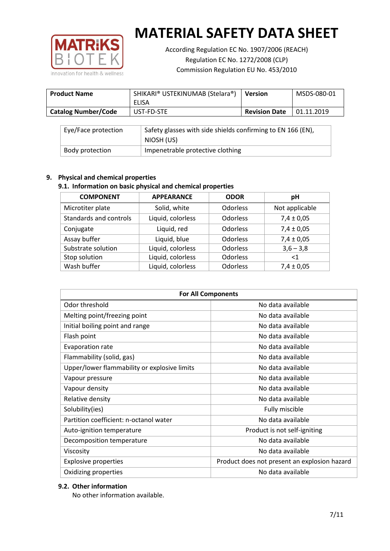

According Regulation EC No. 1907/2006 (REACH) Regulation EC No. 1272/2008 (CLP) Commission Regulation EU No. 453/2010

| <b>Product Name</b>        | SHIKARI® USTEKINUMAB (Stelara®)<br>ELISA | <b>Version</b>       | MSDS-080-01 |
|----------------------------|------------------------------------------|----------------------|-------------|
| <b>Catalog Number/Code</b> | UST-FD-STE                               | <b>Revision Date</b> | 01.11.2019  |

| Eye/Face protection<br>Safety glasses with side shields confirming to EN 166 (EN), |                                  |
|------------------------------------------------------------------------------------|----------------------------------|
|                                                                                    | NIOSH (US)                       |
| Body protection                                                                    | Impenetrable protective clothing |

## **9. Physical and chemical properties**

## **9.1. Information on basic physical and chemical properties**

| <b>COMPONENT</b>       | <b>APPEARANCE</b> | <b>ODOR</b>     | pH             |
|------------------------|-------------------|-----------------|----------------|
| Microtiter plate       | Solid, white      | <b>Odorless</b> | Not applicable |
| Standards and controls | Liquid, colorless | <b>Odorless</b> | $7,4 \pm 0,05$ |
| Conjugate              | Liquid, red       | <b>Odorless</b> | $7,4 \pm 0,05$ |
| Assay buffer           | Liquid, blue      | <b>Odorless</b> | $7,4 \pm 0,05$ |
| Substrate solution     | Liquid, colorless | <b>Odorless</b> | $3,6 - 3,8$    |
| Stop solution          | Liquid, colorless | Odorless        | ${<}1$         |
| Wash buffer            | Liquid, colorless | <b>Odorless</b> | $7,4 \pm 0,05$ |

| <b>For All Components</b>                    |                                              |  |  |
|----------------------------------------------|----------------------------------------------|--|--|
| Odor threshold                               | No data available                            |  |  |
| Melting point/freezing point                 | No data available                            |  |  |
| Initial boiling point and range              | No data available                            |  |  |
| Flash point                                  | No data available                            |  |  |
| <b>Evaporation rate</b>                      | No data available                            |  |  |
| Flammability (solid, gas)                    | No data available                            |  |  |
| Upper/lower flammability or explosive limits | No data available                            |  |  |
| Vapour pressure                              | No data available                            |  |  |
| Vapour density                               | No data available                            |  |  |
| Relative density                             | No data available                            |  |  |
| Solubility(ies)                              | Fully miscible                               |  |  |
| Partition coefficient: n-octanol water       | No data available                            |  |  |
| Auto-ignition temperature                    | Product is not self-igniting                 |  |  |
| Decomposition temperature                    | No data available                            |  |  |
| Viscosity                                    | No data available                            |  |  |
| <b>Explosive properties</b>                  | Product does not present an explosion hazard |  |  |
| Oxidizing properties                         | No data available                            |  |  |

## **9.2. Other information**

No other information available.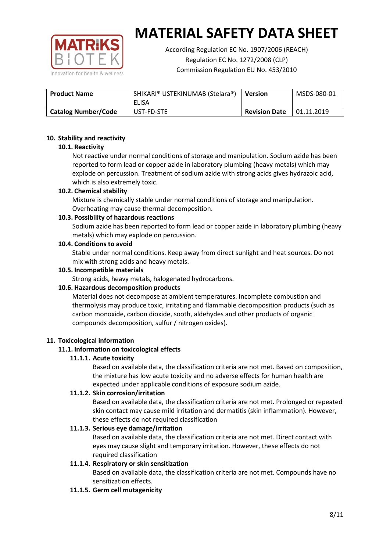

According Regulation EC No. 1907/2006 (REACH) Regulation EC No. 1272/2008 (CLP) Commission Regulation EU No. 453/2010

| <b>Product Name</b>        | SHIKARI® USTEKINUMAB (Stelara®)<br>ELISA | <b>Version</b>       | MSDS-080-01 |
|----------------------------|------------------------------------------|----------------------|-------------|
| <b>Catalog Number/Code</b> | UST-FD-STE                               | <b>Revision Date</b> | 01.11.2019  |

#### **10. Stability and reactivity**

#### **10.1. Reactivity**

Not reactive under normal conditions of storage and manipulation. Sodium azide has been reported to form lead or copper azide in laboratory plumbing (heavy metals) which may explode on percussion. Treatment of sodium azide with strong acids gives hydrazoic acid, which is also extremely toxic.

#### **10.2. Chemical stability**

Mixture is chemically stable under normal conditions of storage and manipulation. Overheating may cause thermal decomposition.

#### **10.3. Possibility of hazardous reactions**

Sodium azide has been reported to form lead or copper azide in laboratory plumbing (heavy metals) which may explode on percussion.

#### **10.4. Conditions to avoid**

Stable under normal conditions. Keep away from direct sunlight and heat sources. Do not mix with strong acids and heavy metals.

#### **10.5. Incompatible materials**

Strong acids, heavy metals, halogenated hydrocarbons.

## **10.6. Hazardous decomposition products**

Material does not decompose at ambient temperatures. Incomplete combustion and thermolysis may produce toxic, irritating and flammable decomposition products (such as carbon monoxide, carbon dioxide, sooth, aldehydes and other products of organic compounds decomposition, sulfur / nitrogen oxides).

#### **11. Toxicological information**

## **11.1. Information on toxicological effects**

## **11.1.1. Acute toxicity**

Based on available data, the classification criteria are not met. Based on composition, the mixture has low acute toxicity and no adverse effects for human health are expected under applicable conditions of exposure sodium azide.

## **11.1.2. Skin corrosion/irritation**

Based on available data, the classification criteria are not met. Prolonged or repeated skin contact may cause mild irritation and dermatitis (skin inflammation). However, these effects do not required classification

## **11.1.3. Serious eye damage/irritation**

Based on available data, the classification criteria are not met. Direct contact with eyes may cause slight and temporary irritation. However, these effects do not required classification

## **11.1.4. Respiratory or skin sensitization**

Based on available data, the classification criteria are not met. Compounds have no sensitization effects.

#### **11.1.5. Germ cell mutagenicity**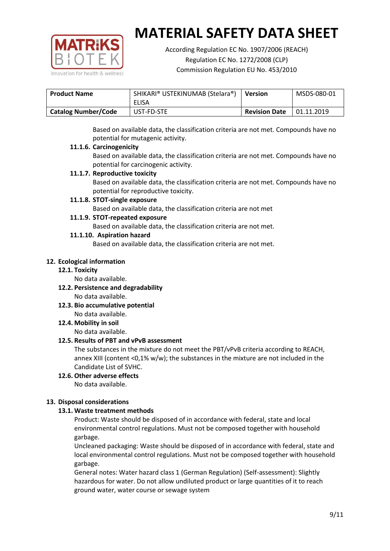

According Regulation EC No. 1907/2006 (REACH) Regulation EC No. 1272/2008 (CLP) Commission Regulation EU No. 453/2010

| <b>Product Name</b>        | SHIKARI® USTEKINUMAB (Stelara®)<br>ELISA | <b>Version</b>       | MSDS-080-01 |
|----------------------------|------------------------------------------|----------------------|-------------|
| <b>Catalog Number/Code</b> | UST-FD-STE                               | <b>Revision Date</b> | 01.11.2019  |

Based on available data, the classification criteria are not met. Compounds have no potential for mutagenic activity.

#### **11.1.6. Carcinogenicity**

Based on available data, the classification criteria are not met. Compounds have no potential for carcinogenic activity.

#### **11.1.7. Reproductive toxicity**

Based on available data, the classification criteria are not met. Compounds have no potential for reproductive toxicity.

#### **11.1.8. STOT-single exposure**

Based on available data, the classification criteria are not met

#### **11.1.9. STOT-repeated exposure**

Based on available data, the classification criteria are not met.

#### **11.1.10. Aspiration hazard**

Based on available data, the classification criteria are not met.

#### **12. Ecological information**

#### **12.1. Toxicity**

No data available.

- **12.2. Persistence and degradability** No data available.
- **12.3. Bio accumulative potential** No data available.

**12.4. Mobility in soil**

No data available.

## **12.5. Results of PBT and vPvB assessment**

The substances in the mixture do not meet the PBT/vPvB criteria according to REACH, annex XIII (content <0,1% w/w); the substances in the mixture are not included in the Candidate List of SVHC.

#### **12.6. Other adverse effects** No data available.

## **13. Disposal considerations**

## **13.1. Waste treatment methods**

Product: Waste should be disposed of in accordance with federal, state and local environmental control regulations. Must not be composed together with household garbage.

Uncleaned packaging: Waste should be disposed of in accordance with federal, state and local environmental control regulations. Must not be composed together with household garbage.

General notes: Water hazard class 1 (German Regulation) (Self-assessment): Slightly hazardous for water. Do not allow undiluted product or large quantities of it to reach ground water, water course or sewage system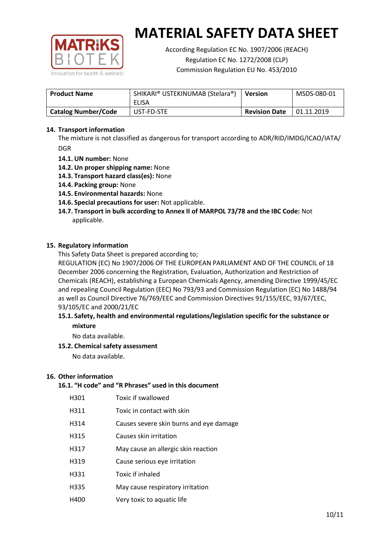

According Regulation EC No. 1907/2006 (REACH) Regulation EC No. 1272/2008 (CLP) Commission Regulation EU No. 453/2010

| <b>Product Name</b>        | SHIKARI® USTEKINUMAB (Stelara®)<br>ELISA | <b>Version</b>       | MSDS-080-01 |
|----------------------------|------------------------------------------|----------------------|-------------|
| <b>Catalog Number/Code</b> | UST-FD-STE                               | <b>Revision Date</b> | 01.11.2019  |

### **14. Transport information**

The mixture is not classified as dangerous for transport according to ADR/RID/IMDG/ICAO/IATA/ DGR

- **14.1. UN number:** None
- **14.2. Un proper shipping name:** None
- **14.3. Transport hazard class(es):** None
- **14.4. Packing group:** None
- **14.5. Environmental hazards:** None
- **14.6. Special precautions for user:** Not applicable.
- **14.7. Transport in bulk according to Annex II of MARPOL 73/78 and the IBC Code:** Not applicable.

#### **15. Regulatory information**

This Safety Data Sheet is prepared according to;

REGULATION (EC) No 1907/2006 OF THE EUROPEAN PARLIAMENT AND OF THE COUNCIL of 18 December 2006 concerning the Registration, Evaluation, Authorization and Restriction of Chemicals (REACH), establishing a European Chemicals Agency, amending Directive 1999/45/EC and repealing Council Regulation (EEC) No 793/93 and Commission Regulation (EC) No 1488/94 as well as Council Directive 76/769/EEC and Commission Directives 91/155/EEC, 93/67/EEC, 93/105/EC and 2000/21/EC

#### **15.1. Safety, health and environmental regulations/legislation specific for the substance or mixture**

No data available.

## **15.2. Chemical safety assessment**

No data available.

#### **16. Other information**

## **16.1. "H code" and "R Phrases" used in this document**

| H301 | Toxic if swallowed |
|------|--------------------|
|------|--------------------|

- H311 Toxic in contact with skin
- H314 Causes severe skin burns and eye damage
- H315 Causes skin irritation
- H317 May cause an allergic skin reaction
- H319 Cause serious eye irritation
- H331 Toxic if inhaled
- H335 May cause respiratory irritation
- H400 Very toxic to aquatic life